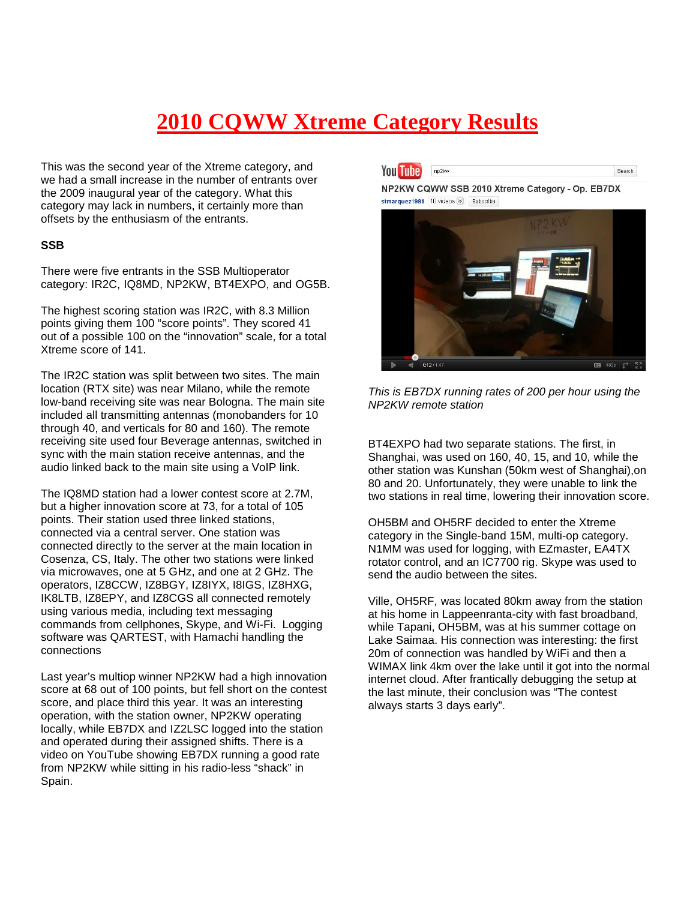# **2010 CQWW Xtreme Category Results**

This was the second year of the Xtreme category, and we had a small increase in the number of entrants over the 2009 inaugural year of the category. What this category may lack in numbers, it certainly more than offsets by the enthusiasm of the entrants.

## **SSB**

There were five entrants in the SSB Multioperator category: IR2C, IQ8MD, NP2KW, BT4EXPO, and OG5B.

The highest scoring station was IR2C, with 8.3 Million points giving them 100 "score points". They scored 41 out of a possible 100 on the "innovation" scale, for a total Xtreme score of 141.

The IR2C station was split between two sites. The main location (RTX site) was near Milano, while the remote low-band receiving site was near Bologna. The main site included all transmitting antennas (monobanders for 10 through 40, and verticals for 80 and 160). The remote receiving site used four Beverage antennas, switched in sync with the main station receive antennas, and the audio linked back to the main site using a VoIP link.

The IQ8MD station had a lower contest score at 2.7M, but a higher innovation score at 73, for a total of 105 points. Their station used three linked stations, connected via a central server. One station was connected directly to the server at the main location in Cosenza, CS, Italy. The other two stations were linked via microwaves, one at 5 GHz, and one at 2 GHz. The operators, IZ8CCW, IZ8BGY, IZ8IYX, I8IGS, IZ8HXG, IK8LTB, IZ8EPY, and IZ8CGS all connected remotely using various media, including text messaging commands from cellphones, Skype, and Wi-Fi. Logging software was QARTEST, with Hamachi handling the connections

Last year's multiop winner NP2KW had a high innovation score at 68 out of 100 points, but fell short on the contest score, and place third this year. It was an interesting operation, with the station owner, NP2KW operating locally, while EB7DX and IZ2LSC logged into the station and operated during their assigned shifts. There is a video on YouTube showing EB7DX running a good rate from NP2KW while sitting in his radio-less "shack" in Spain.

**You Tube** np2kw Search

NP2KW CQWW SSB 2010 Xtreme Category - Op. EB7DX stmarquez1981 10 videos ≥ Subscribe





BT4EXPO had two separate stations. The first, in Shanghai, was used on 160, 40, 15, and 10, while the other station was Kunshan (50km west of Shanghai),on 80 and 20. Unfortunately, they were unable to link the two stations in real time, lowering their innovation score.

OH5BM and OH5RF decided to enter the Xtreme category in the Single-band 15M, multi-op category. N1MM was used for logging, with EZmaster, EA4TX rotator control, and an IC7700 rig. Skype was used to send the audio between the sites.

Ville, OH5RF, was located 80km away from the station at his home in Lappeenranta-city with fast broadband, while Tapani, OH5BM, was at his summer cottage on Lake Saimaa. His connection was interesting: the first 20m of connection was handled by WiFi and then a WIMAX link 4km over the lake until it got into the normal internet cloud. After frantically debugging the setup at the last minute, their conclusion was "The contest always starts 3 days early".